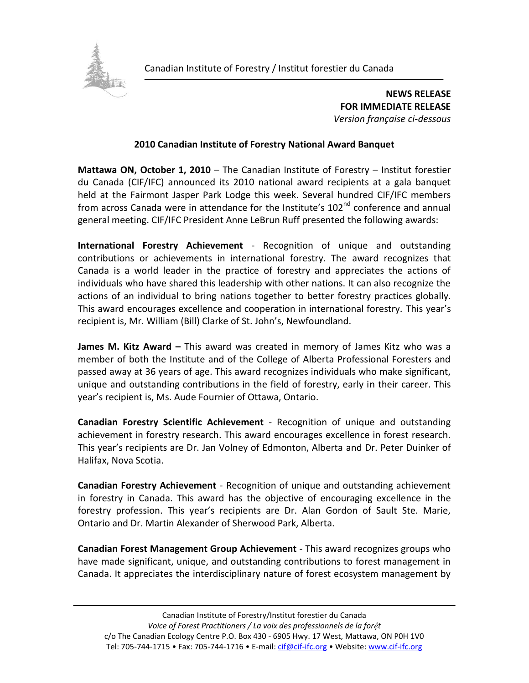

**NEWS RELEASE FOR IMMEDIATE RELEASE** *Version française ci-dessous*

## **2010 Canadian Institute of Forestry National Award Banquet**

**Mattawa ON, October 1, 2010** – The Canadian Institute of Forestry – Institut forestier du Canada (CIF/IFC) announced its 2010 national award recipients at a gala banquet held at the Fairmont Jasper Park Lodge this week. Several hundred CIF/IFC members from across Canada were in attendance for the Institute's 102<sup>nd</sup> conference and annual general meeting. CIF/IFC President Anne LeBrun Ruff presented the following awards:

**International Forestry Achievement** - Recognition of unique and outstanding contributions or achievements in international forestry. The award recognizes that Canada is a world leader in the practice of forestry and appreciates the actions of individuals who have shared this leadership with other nations. It can also recognize the actions of an individual to bring nations together to better forestry practices globally. This award encourages excellence and cooperation in international forestry. This year's recipient is, Mr. William (Bill) Clarke of St. John's, Newfoundland.

**James M. Kitz Award –** This award was created in memory of James Kitz who was a member of both the Institute and of the College of Alberta Professional Foresters and passed away at 36 years of age. This award recognizes individuals who make significant, unique and outstanding contributions in the field of forestry, early in their career. This year's recipient is, Ms. Aude Fournier of Ottawa, Ontario.

**Canadian Forestry Scientific Achievement** - Recognition of unique and outstanding achievement in forestry research. This award encourages excellence in forest research. This year's recipients are Dr. Jan Volney of Edmonton, Alberta and Dr. Peter Duinker of Halifax, Nova Scotia.

**Canadian Forestry Achievement** - Recognition of unique and outstanding achievement in forestry in Canada. This award has the objective of encouraging excellence in the forestry profession. This year's recipients are Dr. Alan Gordon of Sault Ste. Marie, Ontario and Dr. Martin Alexander of Sherwood Park, Alberta.

**Canadian Forest Management Group Achievement** - This award recognizes groups who have made significant, unique, and outstanding contributions to forest management in Canada. It appreciates the interdisciplinary nature of forest ecosystem management by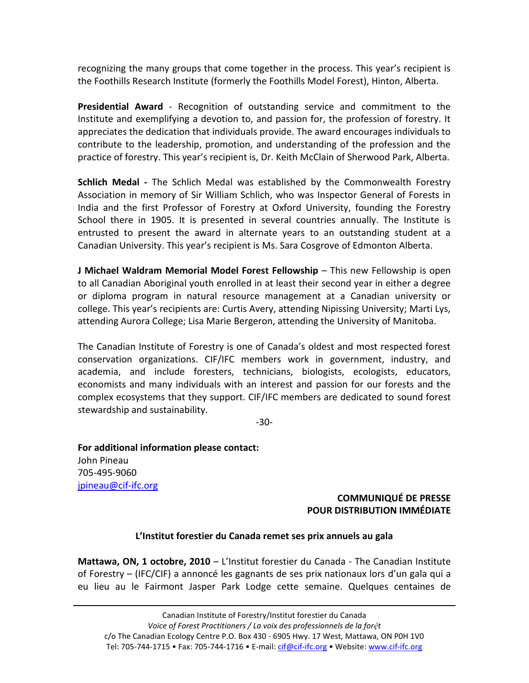recognizing the many groups that come together in the process. This year's recipient is the Foothills Research Institute (formerly the Foothills Model Forest), Hinton, Alberta.

**Presidential Award** - Recognition of outstanding service and commitment to the Institute and exemplifying a devotion to, and passion for, the profession of forestry. It appreciates the dedication that individuals provide. The award encourages individuals to contribute to the leadership, promotion, and understanding of the profession and the practice of forestry. This year's recipient is, Dr. Keith McClain of Sherwood Park, Alberta.

**Schlich Medal -** The Schlich Medal was established by the Commonwealth Forestry Association in memory of Sir William Schlich, who was Inspector General of Forests in India and the first Professor of Forestry at Oxford University, founding the Forestry School there in 1905. It is presented in several countries annually. The Institute is entrusted to present the award in alternate years to an outstanding student at a Canadian University. This year's recipient is Ms. Sara Cosgrove of Edmonton Alberta.

**J Michael Waldram Memorial Model Forest Fellowship** – This new Fellowship is open to all Canadian Aboriginal youth enrolled in at least their second year in either a degree or diploma program in natural resource management at a Canadian university or college. This year's recipients are: Curtis Avery, attending Nipissing University; Marti Lys, attending Aurora College; Lisa Marie Bergeron, attending the University of Manitoba.

The Canadian Institute of Forestry is one of Canada's oldest and most respected forest conservation organizations. CIF/IFC members work in government, industry, and academia, and include foresters, technicians, biologists, ecologists, educators, economists and many individuals with an interest and passion for our forests and the complex ecosystems that they support. CIF/IFC members are dedicated to sound forest stewardship and sustainability.

-30-

**For additional information please contact:** John Pineau 705-495-9060 [jpineau@cif-ifc.org](mailto:jpineau@cif-ifc.org)

## **COMMUNIQUÉ DE PRESSE POUR DISTRIBUTION IMMÉDIATE**

## **L'Institut forestier du Canada remet ses prix annuels au gala**

**Mattawa, ON, 1 octobre, 2010** – L'Institut forestier du Canada - The Canadian Institute of Forestry – (IFC/CIF) a annoncé les gagnants de ses prix nationaux lors d'un gala qui a eu lieu au le Fairmont Jasper Park Lodge cette semaine. Quelques centaines de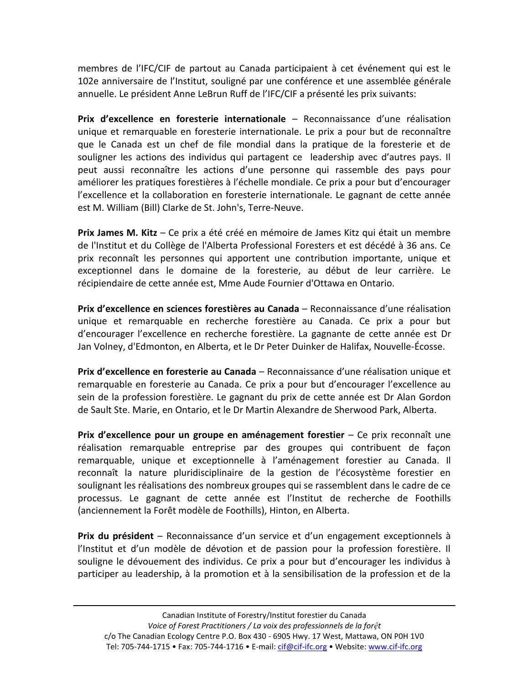membres de l'IFC/CIF de partout au Canada participaient à cet événement qui est le 102e anniversaire de l'Institut, souligné par une conférence et une assemblée générale annuelle. Le président Anne LeBrun Ruff de l'IFC/CIF a présenté les prix suivants:

**Prix d'excellence en foresterie internationale** – Reconnaissance d'une réalisation unique et remarquable en foresterie internationale. Le prix a pour but de reconnaître que le Canada est un chef de file mondial dans la pratique de la foresterie et de souligner les actions des individus qui partagent ce leadership avec d'autres pays. Il peut aussi reconnaître les actions d'une personne qui rassemble des pays pour améliorer les pratiques forestières à l'échelle mondiale. Ce prix a pour but d'encourager l'excellence et la collaboration en foresterie internationale. Le gagnant de cette année est M. William (Bill) Clarke de St. John's, Terre-Neuve.

**Prix James M. Kitz** – Ce prix a été créé en mémoire de James Kitz qui était un membre de l'Institut et du Collège de l'Alberta Professional Foresters et est décédé à 36 ans. Ce prix reconnaît les personnes qui apportent une contribution importante, unique et exceptionnel dans le domaine de la foresterie, au début de leur carrière. Le récipiendaire de cette année est, Mme Aude Fournier d'Ottawa en Ontario.

**Prix d'excellence en sciences forestières au Canada** – Reconnaissance d'une réalisation unique et remarquable en recherche forestière au Canada. Ce prix a pour but d'encourager l'excellence en recherche forestière. La gagnante de cette année est Dr Jan Volney, d'Edmonton, en Alberta, et le Dr Peter Duinker de Halifax, Nouvelle-Écosse.

**Prix d'excellence en foresterie au Canada** – Reconnaissance d'une réalisation unique et remarquable en foresterie au Canada. Ce prix a pour but d'encourager l'excellence au sein de la profession forestière. Le gagnant du prix de cette année est Dr Alan Gordon de Sault Ste. Marie, en Ontario, et le Dr Martin Alexandre de Sherwood Park, Alberta.

**Prix d'excellence pour un groupe en aménagement forestier** – Ce prix reconnaît une réalisation remarquable entreprise par des groupes qui contribuent de façon remarquable, unique et exceptionnelle à l'aménagement forestier au Canada. Il reconnaît la nature pluridisciplinaire de la gestion de l'écosystème forestier en soulignant les réalisations des nombreux groupes qui se rassemblent dans le cadre de ce processus. Le gagnant de cette année est l'Institut de recherche de Foothills (anciennement la Forêt modèle de Foothills), Hinton, en Alberta.

**Prix du président** – Reconnaissance d'un service et d'un engagement exceptionnels à l'Institut et d'un modèle de dévotion et de passion pour la profession forestière. Il souligne le dévouement des individus. Ce prix a pour but d'encourager les individus à participer au leadership, à la promotion et à la sensibilisation de la profession et de la